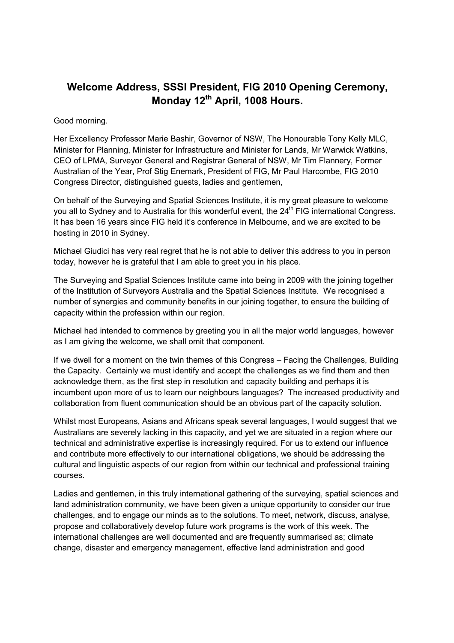## **Welcome Address, SSSI President, FIG 2010 Opening Ceremony, Monday 12th April, 1008 Hours.**

## Good morning.

Her Excellency Professor Marie Bashir, Governor of NSW, The Honourable Tony Kelly MLC, Minister for Planning, Minister for Infrastructure and Minister for Lands, Mr Warwick Watkins, CEO of LPMA, Surveyor General and Registrar General of NSW, Mr Tim Flannery, Former Australian of the Year, Prof Stig Enemark, President of FIG, Mr Paul Harcombe, FIG 2010 Congress Director, distinguished guests, ladies and gentlemen,

On behalf of the Surveying and Spatial Sciences Institute, it is my great pleasure to welcome you all to Sydney and to Australia for this wonderful event, the 24<sup>th</sup> FIG international Congress. It has been 16 years since FIG held it's conference in Melbourne, and we are excited to be hosting in 2010 in Sydney.

Michael Giudici has very real regret that he is not able to deliver this address to you in person today, however he is grateful that I am able to greet you in his place.

The Surveying and Spatial Sciences Institute came into being in 2009 with the joining together of the Institution of Surveyors Australia and the Spatial Sciences Institute. We recognised a number of synergies and community benefits in our joining together, to ensure the building of capacity within the profession within our region.

Michael had intended to commence by greeting you in all the major world languages, however as I am giving the welcome, we shall omit that component.

If we dwell for a moment on the twin themes of this Congress – Facing the Challenges, Building the Capacity. Certainly we must identify and accept the challenges as we find them and then acknowledge them, as the first step in resolution and capacity building and perhaps it is incumbent upon more of us to learn our neighbours languages? The increased productivity and collaboration from fluent communication should be an obvious part of the capacity solution.

Whilst most Europeans, Asians and Africans speak several languages, I would suggest that we Australians are severely lacking in this capacity, and yet we are situated in a region where our technical and administrative expertise is increasingly required. For us to extend our influence and contribute more effectively to our international obligations, we should be addressing the cultural and linguistic aspects of our region from within our technical and professional training courses.

Ladies and gentlemen, in this truly international gathering of the surveying, spatial sciences and land administration community, we have been given a unique opportunity to consider our true challenges, and to engage our minds as to the solutions. To meet, network, discuss, analyse, propose and collaboratively develop future work programs is the work of this week. The international challenges are well documented and are frequently summarised as; climate change, disaster and emergency management, effective land administration and good